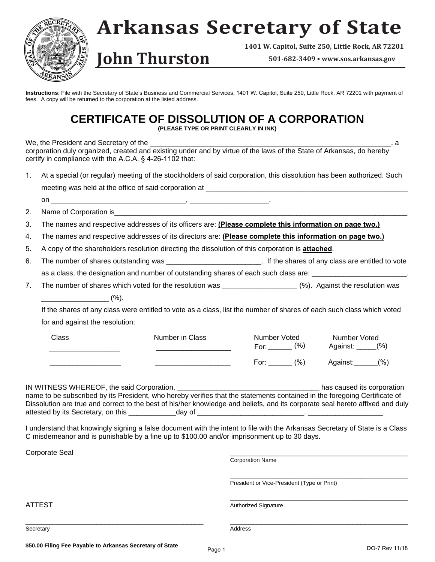

## **Arkansas Secretary of State**

**1401 W. Capitol, Suite 250, Little Rock, AR 72201**

**John Thurston 501-682-3409 • www.sos.arkansas.gov**

**Instructions**: File with the Secretary of State's Business and Commercial Services, 1401 W. Capitol, Suite 250, Little Rock, AR 72201 with payment of fees. A copy will be returned to the corporation at the listed address.

## **CERTIFICATE OF DISSOLUTION OF A CORPORATION**

**(PLEASE TYPE OR PRINT CLEARLY IN INK)** 

We, the President and Secretary of the corporation duly organized, created and existing under and by virtue of the laws of the State of Arkansas, do hereby certify in compliance with the A.C.A. § 4-26-1102 that:

1. At a special (or regular) meeting of the stockholders of said corporation, this dissolution has been authorized. Such meeting was held at the office of said corporation at \_\_\_\_\_\_\_\_\_\_\_\_\_\_\_\_\_\_\_\_\_\_\_\_\_\_\_

2. Name of Corporation is

- 3. The names and respective addresses of its officers are: **(Please complete this information on page two.)**
- 4. The names and respective addresses of its directors are: **(Please complete this information on page two.)**
- 5. A copy of the shareholders resolution directing the dissolution of this corporation is **attached**.

on \_\_\_\_\_\_\_\_\_\_\_\_\_\_\_\_\_\_\_\_\_\_\_\_\_\_\_\_\_\_\_\_\_\_, \_\_\_\_\_\_\_\_\_\_\_\_\_\_\_\_\_\_\_\_.

- 6. The number of shares outstanding was \_\_\_\_\_\_\_\_\_\_\_\_\_\_\_\_\_\_\_\_\_\_\_\_. If the shares of any class are entitled to vote as a class, the designation and number of outstanding shares of each such class are:
- 7. The number of shares which voted for the resolution was  $(%)$ . Against the resolution was  $(%)$ .

If the shares of any class were entitled to vote as a class, list the number of shares of each such class which voted for and against the resolution:

| Class | Number in Class | Number Voted<br>(%)<br>For: | Number Voted<br>(% )<br>Against: |
|-------|-----------------|-----------------------------|----------------------------------|
|       |                 | (%)<br>For:                 | (%<br>Against:                   |

IN WITNESS WHEREOF, the said Corporation, \_\_\_\_\_\_\_\_\_\_\_\_\_\_\_\_\_\_\_\_\_\_\_\_\_\_\_\_\_\_\_\_\_\_\_\_ has caused its corporation name to be subscribed by its President, who hereby verifies that the statements contained in the foregoing Certificate of Dissolution are true and correct to the best of his/her knowledge and beliefs, and its corporate seal hereto affixed and duly attested by its Secretary, on this \_\_\_\_\_\_\_\_\_\_\_\_day of \_\_\_\_\_\_\_\_\_\_\_\_\_\_\_\_\_\_\_\_\_\_\_\_\_\_\_, \_\_\_\_\_\_\_\_\_\_\_\_\_\_\_\_\_\_\_.

I understand that knowingly signing a false document with the intent to file with the Arkansas Secretary of State is a Class C misdemeanor and is punishable by a fine up to \$100.00 and/or imprisonment up to 30 days.

Corporate Seal

Corporation Name

\_\_\_\_\_\_\_\_\_\_\_\_\_\_\_\_\_\_\_\_\_\_\_\_\_\_\_\_\_\_\_\_\_\_\_\_\_\_\_\_\_\_\_\_\_ President or Vice-President (Type or Print)

\_\_\_\_\_\_\_\_\_\_\_\_\_\_\_\_\_\_\_\_\_\_\_\_\_\_\_\_\_\_\_\_\_\_\_\_\_\_\_\_\_\_\_\_\_

ATTEST Authorized Signature

Secretary **Address** 

**\$50.00 Filing Fee Payable to Arkansas Secretary of State** DO-7 Rev 11/18

\_\_\_\_\_\_\_\_\_\_\_\_\_\_\_\_\_\_\_\_\_\_\_\_\_\_\_\_\_\_\_\_\_\_\_\_\_\_\_\_\_\_\_\_\_ \_\_\_\_\_\_\_\_\_\_\_\_\_\_\_\_\_\_\_\_\_\_\_\_\_\_\_\_\_\_\_\_\_\_\_\_\_\_\_\_\_\_\_\_\_